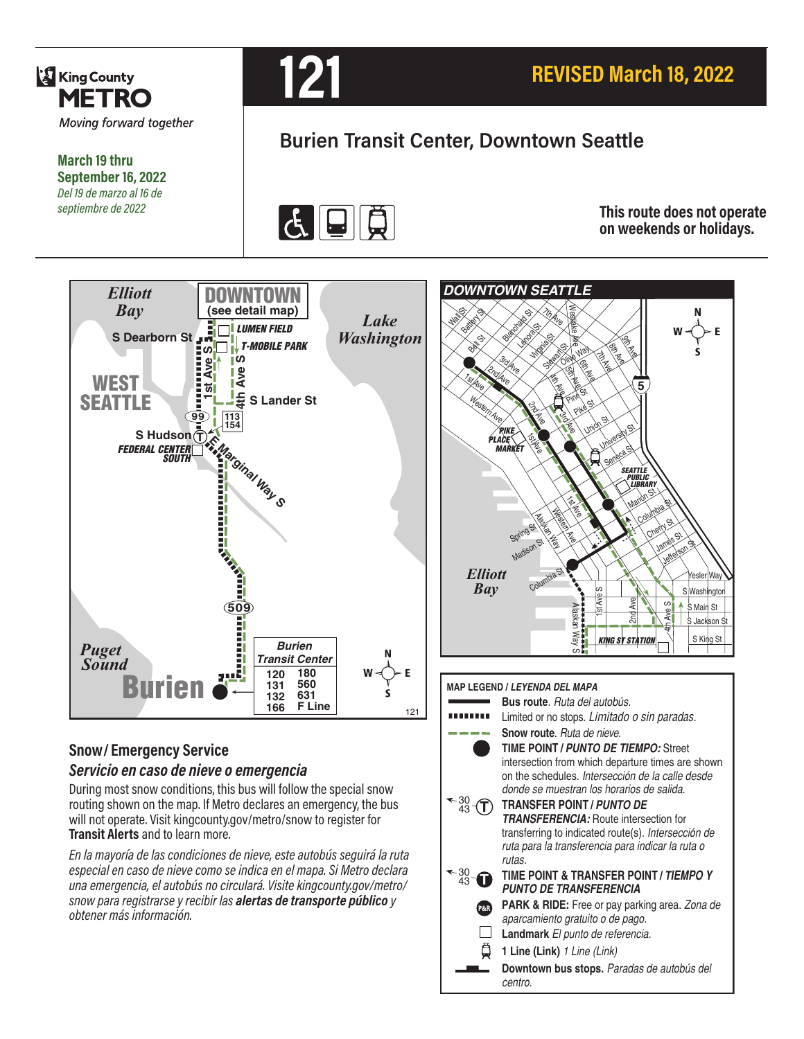